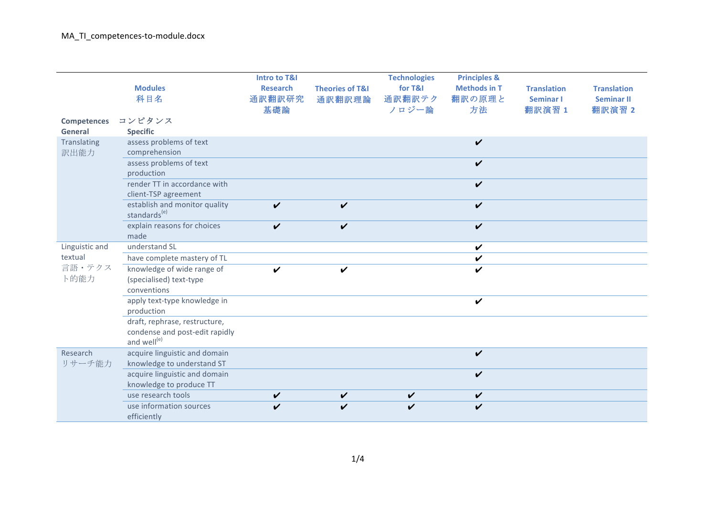|                     | <b>Modules</b>                                                                             | <b>Intro to T&amp;I</b><br><b>Research</b> | <b>Theories of T&amp;I</b> | <b>Technologies</b><br>for T&I | <b>Principles &amp;</b><br><b>Methods in T</b> | <b>Translation</b>         | <b>Translation</b>          |
|---------------------|--------------------------------------------------------------------------------------------|--------------------------------------------|----------------------------|--------------------------------|------------------------------------------------|----------------------------|-----------------------------|
|                     | 科目名                                                                                        | 通訳翻訳研究<br>基礎論                              | 通訳翻訳理論                     | 通訳翻訳テク<br>ノロジー論                | 翻訳の原理と<br>方法                                   | <b>Seminar I</b><br>翻訳演習 1 | <b>Seminar II</b><br>翻訳演習 2 |
| <b>Competences</b>  | コンピタンス                                                                                     |                                            |                            |                                |                                                |                            |                             |
| General             | <b>Specific</b>                                                                            |                                            |                            |                                |                                                |                            |                             |
| Translating<br>訳出能力 | assess problems of text<br>comprehension                                                   |                                            |                            |                                | $\boldsymbol{\nu}$                             |                            |                             |
|                     | assess problems of text<br>production                                                      |                                            |                            |                                | $\boldsymbol{\nu}$                             |                            |                             |
|                     | render TT in accordance with<br>client-TSP agreement                                       |                                            |                            |                                | $\boldsymbol{\nu}$                             |                            |                             |
|                     | establish and monitor quality<br>standards <sup>(e)</sup>                                  | $\boldsymbol{\nu}$                         | $\checkmark$               |                                | $\boldsymbol{\nu}$                             |                            |                             |
|                     | explain reasons for choices<br>made                                                        | $\boldsymbol{\nu}$                         | $\boldsymbol{\mathcal{U}}$ |                                | $\boldsymbol{\mathcal{U}}$                     |                            |                             |
| Linguistic and      | understand SL                                                                              |                                            |                            |                                | $\checkmark$                                   |                            |                             |
| textual             | have complete mastery of TL                                                                |                                            |                            |                                | $\checkmark$                                   |                            |                             |
| 言語・テクス<br>卜的能力      | knowledge of wide range of<br>(specialised) text-type<br>conventions                       | $\boldsymbol{\nu}$                         | $\boldsymbol{\nu}$         |                                | V                                              |                            |                             |
|                     | apply text-type knowledge in<br>production                                                 |                                            |                            |                                | $\boldsymbol{\nu}$                             |                            |                             |
|                     | draft, rephrase, restructure,<br>condense and post-edit rapidly<br>and well <sup>(e)</sup> |                                            |                            |                                |                                                |                            |                             |
| Research<br>リサーチ能力  | acquire linguistic and domain<br>knowledge to understand ST                                |                                            |                            |                                | $\boldsymbol{\nu}$                             |                            |                             |
|                     | acquire linguistic and domain<br>knowledge to produce TT                                   |                                            |                            |                                | $\boldsymbol{\nu}$                             |                            |                             |
|                     | use research tools                                                                         | V                                          | $\checkmark$               | $\checkmark$                   | $\boldsymbol{\nu}$                             |                            |                             |
|                     | use information sources<br>efficiently                                                     | ✓                                          | V                          | ✔                              | V                                              |                            |                             |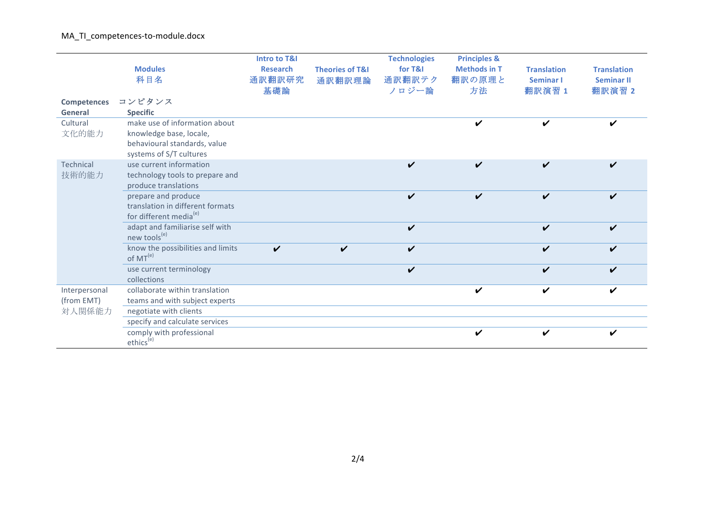MA\_TI\_competences-to-module.docx

|                      | <b>Modules</b><br>科目名                                                                         | <b>Intro to T&amp;I</b><br><b>Research</b><br>通訳翻訳研究<br>基礎論 | <b>Theories of T&amp;I</b><br>通訳翻訳理論 | <b>Technologies</b><br>for T&I<br>通訳翻訳テク<br>ノロジー論 | <b>Principles &amp;</b><br><b>Methods in T</b><br>翻訳の原理と<br>方法 | <b>Translation</b><br>Seminar I<br>翻訳演習 1 | <b>Translation</b><br><b>Seminar II</b><br>翻訳演習 2 |
|----------------------|-----------------------------------------------------------------------------------------------|-------------------------------------------------------------|--------------------------------------|---------------------------------------------------|----------------------------------------------------------------|-------------------------------------------|---------------------------------------------------|
| <b>Competences</b>   | コンピタンス                                                                                        |                                                             |                                      |                                                   |                                                                |                                           |                                                   |
| General              | <b>Specific</b>                                                                               |                                                             |                                      |                                                   |                                                                |                                           |                                                   |
| Cultural             | make use of information about                                                                 |                                                             |                                      |                                                   |                                                                |                                           |                                                   |
| 文化的能力                | knowledge base, locale,<br>behavioural standards, value<br>systems of S/T cultures            |                                                             |                                      |                                                   |                                                                |                                           |                                                   |
| Technical            | use current information                                                                       |                                                             |                                      | ✔                                                 | ✔                                                              | ✓                                         | ✔                                                 |
| 技術的能力                | technology tools to prepare and<br>produce translations                                       |                                                             |                                      |                                                   |                                                                |                                           |                                                   |
|                      | prepare and produce<br>translation in different formats<br>for different media <sup>(e)</sup> |                                                             |                                      | V                                                 | V                                                              | ✓                                         | ✔                                                 |
|                      | adapt and familiarise self with<br>new tools <sup>(e)</sup>                                   |                                                             |                                      | ✔                                                 |                                                                | ✓                                         | V                                                 |
|                      | know the possibilities and limits<br>of $MT(e)$                                               | $\boldsymbol{\nu}$                                          | V                                    | ✓                                                 |                                                                | ✓                                         |                                                   |
|                      | use current terminology<br>collections                                                        |                                                             |                                      | ✓                                                 |                                                                |                                           |                                                   |
| Interpersonal        | collaborate within translation                                                                |                                                             |                                      |                                                   | ✔                                                              | ✔                                         | ✔                                                 |
| (from EMT)<br>対人関係能力 | teams and with subject experts                                                                |                                                             |                                      |                                                   |                                                                |                                           |                                                   |
|                      | negotiate with clients                                                                        |                                                             |                                      |                                                   |                                                                |                                           |                                                   |
|                      | specify and calculate services                                                                |                                                             |                                      |                                                   |                                                                |                                           |                                                   |
|                      | comply with professional<br>ethics <sup>(e)</sup>                                             |                                                             |                                      |                                                   |                                                                |                                           |                                                   |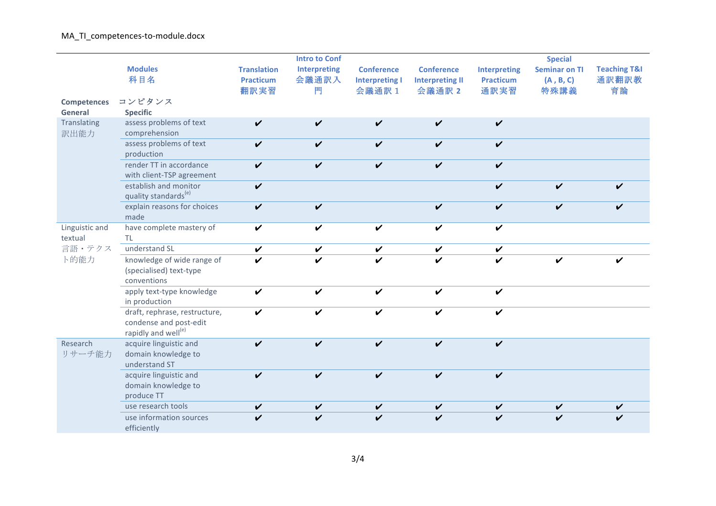## MA\_TI\_competences-to-module.docx

|                           |                                                                                            |                    | <b>Intro to Conf</b> |                       |                            |                     | <b>Special</b>             |                         |
|---------------------------|--------------------------------------------------------------------------------------------|--------------------|----------------------|-----------------------|----------------------------|---------------------|----------------------------|-------------------------|
|                           | <b>Modules</b>                                                                             | <b>Translation</b> | <b>Interpreting</b>  | <b>Conference</b>     | <b>Conference</b>          | <b>Interpreting</b> | <b>Seminar on TI</b>       | <b>Teaching T&amp;I</b> |
|                           | 科目名                                                                                        | <b>Practicum</b>   | 会議通訳入                | <b>Interpreting I</b> | <b>Interpreting II</b>     | <b>Practicum</b>    | (A, B, C)                  | 通訳翻訳教                   |
|                           |                                                                                            | 翻訳実習               | 門                    | 会議通訳 1                | 会議通訳 2                     | 通訳実習                | 特殊講義                       | 育論                      |
| <b>Competences</b>        | コンピタンス                                                                                     |                    |                      |                       |                            |                     |                            |                         |
| General                   | <b>Specific</b>                                                                            |                    |                      |                       |                            |                     |                            |                         |
| Translating<br>訳出能力       | assess problems of text<br>comprehension                                                   | $\checkmark$       | V                    | $\checkmark$          | V                          | $\checkmark$        |                            |                         |
|                           | assess problems of text<br>production                                                      | $\checkmark$       | $\checkmark$         | $\checkmark$          | $\boldsymbol{\mathcal{U}}$ | $\boldsymbol{\nu}$  |                            |                         |
|                           | render TT in accordance<br>with client-TSP agreement                                       | $\checkmark$       | $\checkmark$         | $\checkmark$          | $\checkmark$               | $\boldsymbol{\nu}$  |                            |                         |
|                           | establish and monitor<br>quality standards <sup>(e)</sup>                                  | $\checkmark$       |                      |                       |                            | $\checkmark$        | $\boldsymbol{\mathcal{U}}$ | ✔                       |
|                           | explain reasons for choices<br>made                                                        | $\checkmark$       | $\checkmark$         |                       | V                          | $\boldsymbol{\nu}$  | $\checkmark$               | V                       |
| Linguistic and<br>textual | have complete mastery of<br><b>TL</b>                                                      | $\boldsymbol{\nu}$ | $\boldsymbol{\nu}$   | $\checkmark$          | $\boldsymbol{\nu}$         | $\boldsymbol{\nu}$  |                            |                         |
| 言語・テクス                    | understand SL                                                                              | $\checkmark$       | $\checkmark$         | $\checkmark$          | $\checkmark$               | $\checkmark$        |                            |                         |
| 卜的能力                      | knowledge of wide range of<br>(specialised) text-type<br>conventions                       | $\boldsymbol{\nu}$ |                      | V                     | ✓                          | V                   | V                          |                         |
|                           | apply text-type knowledge<br>in production                                                 | $\boldsymbol{\nu}$ | ✓                    | $\checkmark$          | V                          | $\boldsymbol{\nu}$  |                            |                         |
|                           | draft, rephrase, restructure,<br>condense and post-edit<br>rapidly and well <sup>(e)</sup> | V                  | ✔                    | V                     | ✓                          | V                   |                            |                         |
| Research<br>リサーチ能力        | acquire linguistic and<br>domain knowledge to<br>understand ST                             | V                  | ✓                    | $\checkmark$          | V                          | $\boldsymbol{\nu}$  |                            |                         |
|                           | acquire linguistic and<br>domain knowledge to<br>produce TT                                | V                  | ✓                    | V                     | V                          | $\boldsymbol{\nu}$  |                            |                         |
|                           | use research tools                                                                         | V                  | $\checkmark$         | V                     | V                          | V                   |                            |                         |
|                           | use information sources<br>efficiently                                                     | V                  |                      | V                     | V                          | V                   |                            |                         |